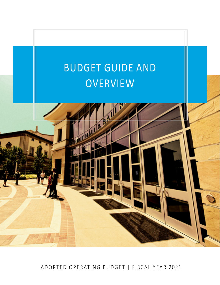

ADOPTED OPERATING BUDGET | FISCAL YEAR 2021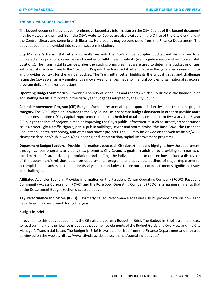# **THE ANNUAL BUDGET DOCUMENT**

The budget document provides comprehensive budgetary information on the City. Copies of the budget document may be viewed and printed from the City's website. Copies are also available in the Office of the City Clerk, and at the Central Library and some branch libraries. Hard copies may be purchased from the Finance Department. The budget document is divided into several sections including:

**City Manager's Transmittal Letter** - Formally presents the City's annual adopted budget and summarizes total budgeted appropriations, revenues and number of full-time equivalents (a surrogate measure of authorized staff positions). The Transmittal Letter describes the guiding principles that were used to determine budget priorities, with special attention given to the City Council's goals. The Transmittal Letter discusses the general economic outlook and provides context for the annual budget. The Transmittal Letter highlights the critical issues and challenges facing the City as well as any significant year-over-year changes made to financial policies, organizational structure, program delivery and/or operations.

**Operating Budget Summaries** - Provides a variety of schedules and reports which fully disclose the financial plan and staffing details authorized in the fiscal year budget as adopted by the City Council.

**Capital Improvement Program (CIP) Budge**t - Summarizes annual capital appropriations by department and project category. The CIP Budget is submitted to the City Council as a separate budget document in order to provide more detailed descriptions of City Capital Improvement Projects scheduled to take place in the next five years. The 5-year CIP budget consists of projects aimed at improving the City's public infrastructure such as streets, transportation issues, street lights, traffic signals, parks, public buildings, sewer and storm drains, the Rose Bowl, the Pasadena Convention Center, technology, and water and power projects. The CIP may be viewed on the web at: [http://ww5.](http://ww5.cityofpasadena.net/public-works/engineering-and-construction/capital-improvement-program/) [cityofpasadena.net/public-works/engineering-and-](http://ww5.cityofpasadena.net/public-works/engineering-and-construction/capital-improvement-program/) [construction/capital-improvement-program/](http://ww5.cityofpasadena.net/public-works/engineering-and-construction/capital-improvement-program/)

**Department Budget Sections** - Provide information about each City department and highlights how the department, through various programs and activities, promotes City Council's goals. In addition to providing summaries of the department's authorized appropriations and staffing, the individual department sections include a discussion of the department's mission, detail on departmental programs and activities, outlines of major departmental accomplishments achieved in the prior fiscal year, and includes a future outlook of department's significant issues and challenges.

**Affiliated Agencies Section** - Provides information on the Pasadena Center Operating Company (PCOC), Pasadena Community Access Corporation (PCAC), and the Rose Bowl Operating Company (RBOC) in a manner similar to that of the Department Budget Section discussed above.

**Key Performance Indicators (KPI's)** – formerly called Performance Measures, KPI's provide data on how each department has performed during the year.

#### **Budget-in-Brief**

In addition to this budget document, the City also prepares a Budget-in-Brief. The Budget-in-Brief is a simple, easy to read summary of the fiscal year budget that combines elements of the Budget Guide and Overview and the City Manager's Transmittal Letter. The Budget-in-Brief is available for free from the Finance Department and may also be viewed on the web at: <https://www.cityofpasadena.net/finance/operating-budgets/>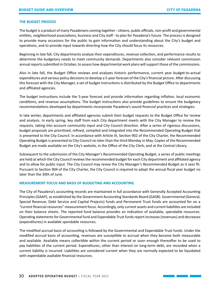# **THE BUDGET PROCESS**

The budget is a product of many Pasadenans coming together - citizens, public officials, non-profit and governmental entities, neighborhood associations, business and City staff - to plan for Pasadena's future. The process is designed to provide many occasions for the public to gain information and understanding about the City's budget and operations, and to provide input towards directing how the City should focus its resources.

Beginning in late fall, City departments analyze their expenditures, revenue collection, and performance results to determine the budgetary needs to meet community demands. Departments also consider relevant commission annual reports submitted in October, to assess how departmental work plans will support those of the commissions.

Also in late fall, the Budget Office reviews and analyzes historic performance, current year budget-to-actual expenditures and various policy decisions to develop a 5-year forecast of the City's financial picture. After discussing this forecast with the City Manager, a set of budget instructions is distributed by the Budget Office to departments and affiliated agencies.

The budget instructions include the 5-year forecast and provide information regarding inflation, local economic conditions, and revenue assumptions. The budget instructions also provide guidelines to ensure the budgetary recommendations developed by departments incorporate Pasadena's sound financial practices and strategies.

In late winter, departments and affiliated agencies submit their budget requests to the Budget Office for review and analysis. In early spring, key staff from each City department meets with the City Manager to review the requests, taking into account community input and City Council direction. After a series of rigorous discussions, budget proposals are prioritized, refined, compiled and integrated into the Recommended Operating Budget that is presented to the City Council. In accordance with Article IX, Section 902 of the City Charter, the Recommended Operating Budget is presented to City Council no later than the third Monday in May. Copies of the Recommended Budget are made available on the City's website, in the Office of the City Clerk, and at the Central Library.

Subsequent to the submission of the City Manager's Recommended Operating Budget, a series of public meetings are held at which the City Council reviews the recommended budget for each City department and affiliated agency and to allow for public input. The City Council may revise the City Manager's Recommended Budget as it sees fit. Pursuant to Section 904 of the City Charter, the City Council is required to adopt the annual fiscal year budget no later than the 30th of June.

# **MEASUREMENT FOCUS AND BASIS OF BUDGETING AND ACCOUNTING**

The City of Pasadena's accounting records are maintained in full accordance with Generally Accepted Accounting Principles (GAAP), as established by the Government Accounting Standards Board (GASB). Governmental (General, Special Revenue, Debt Service and Capital Projects) funds and Permanent Trust funds are accounted for on a "current financial resources" measurement focus. Accordingly, only current assets and current liabilities are included on their balance sheets. The reported fund balance provides an indication of available, spendable resources. Operating statements for Governmental fund and Expendable Trust funds report increases (revenues) and decreases (expenditures) in available spendable resources.

The modified accrual basis of accounting is followed by the Governmental and Expendable Trust funds. Under the modified accrual basis of accounting, revenues are susceptible to accrual when they become both measurable and available. Available means collectible within the current period or soon enough thereafter to be used to pay liabilities of the current period. Expenditures, other than interest on long-term debt, are recorded when a current liability is incurred. Liabilities are considered current when they are normally expected to be liquidated with expendable available financial resources.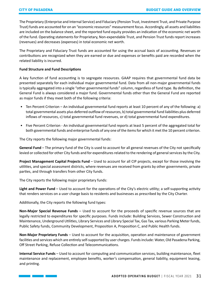The Proprietary (Enterprise and Internal Service) and Fiduciary (Pension Trust, Investment Trust, and Private Purpose Trust) funds are accounted for on an "economic resources" measurement focus. Accordingly, all assets and liabilities are included on the balance sheet, and the reported fund equity provides an indication of the economic net worth of the fund. Operating statements for Proprietary, Non-expendable Trust, and Pension Trust funds report increases (revenues) and decreases (expenses) in total economic net worth.

The Proprietary and Fiduciary Trust funds are accounted for using the accrual basis of accounting. Revenues or contributions are recognized when they are earned or due and expenses or benefits paid are recorded when the related liability is incurred.

# **Fund Structure and Fund Descriptions**

A key function of fund accounting is to segregate resources. GAAP requires that governmental fund data be presented separately for each individual major governmental fund. Data from all non-major governmental funds is typically aggregated into a single "other governmental funds" column, regardless of fund type. By definition, the General Fund is always considered a major fund. Governmental funds other than the General Fund are reported as major funds if they meet both of the following criteria:

- Ten Percent Criterion An individual governmental fund reports at least 10 percent of any of the following: a) total governmental assets plus deferred outflow of resources, b) total governmental fund liabilities plus deferred inflows of resources, c) total governmental fund revenues, or d) total governmental fund expenditures.
- Five Percent Criterion An individual governmental fund reports at least 5 percent of the aggregated total for both governmental funds and enterprise funds of any one of the items for which it met the 10 percent criterion.

The City reports the following major governmental funds:

**General Fund** – The primary fund of the City is used to account for all general revenues of the City not specifically levied or collected for other City funds and for expenditures related to the rendering of general services by the City.

**Project Management Capital Projects Fund** – Used to account for all CIP projects, except for those involving the utilities, and special assessment districts, where revenues are received from grants by other governments, private parties, and through transfers from other City funds.

The City reports the following major proprietary funds:

**Light and Power Fund** – Used to account for the operations of the City's electric utility; a self-supporting activity that renders services on a user charge basis to residents and businesses as prescribed by the City Charter.

Additionally, the City reports the following fund types:

**Non-Major Special Revenue Funds** – Used to account for the proceeds of specific revenue sources that are legally restricted to expenditures for specific purposes. Funds include: Building Services, Sewer Construction and Maintenance, Underground Utilities, Library Services and Library Special Tax, Gas Tax, various Parking Meter funds, Public Safety funds, Community Development, Proposition A, Proposition C, and Public Health funds.

**Non-Major Proprietary Funds** – Used to account for the acquisition, operation and maintenance of government facilities and services which are entirely self-supported by user charges. Funds include: Water, Old Pasadena Parking, Off Street Parking, Refuse Collection and Telecommunications.

**Internal Service Funds** – Used to account for computing and communication services, building maintenance, fleet maintenance and replacement, employee benefits, worker's compensation, general liability, equipment leasing, and printing.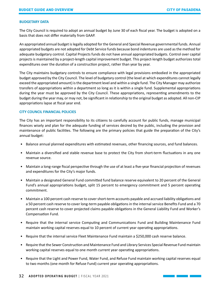### **BUDGETARY DATA**

The City Council is required to adopt an annual budget by June 30 of each fiscal year. The budget is adopted on a basis that does not differ materially from GAAP.

An appropriated annual budget is legally adopted for the General and Special Revenue governmental funds. Annual appropriated budgets are not adopted for Debt Service funds because bond indentures are used as the method for adequate budgetary control. Capital Projects funds do not have annual appropriated budgets. Control over capital projects is maintained by a project-length capital improvement budget. This project-length budget authorizes total expenditures over the duration of a construction project, rather than year by year.

The City maintains budgetary controls to ensure compliance with legal provisions embodied in the appropriated budget approved by the City Council. The level of budgetary control (the level at which expenditures cannot legally exceed the appropriated amount) is the department level and within a single fund. The City Manager may authorize transfers of appropriations within a department so long as it is within a single fund. Supplemental appropriations during the year must be approved by the City Council. These appropriations, representing amendments to the budget during the year may, or may not, be significant in relationship to the original budget as adopted. All non-CIP appropriations lapse at fiscal year end.

# **CITY COUNCIL FINANCIAL POLICIES**

The City has an important responsibility to its citizens to carefully account for public funds, manage municipal finances wisely and plan for the adequate funding of services desired by the public, including the provision and maintenance of public facilities. The following are the primary policies that guide the preparation of the City's annual budget:

- Balance annual planned expenditures with estimated revenues, other financing sources, and fund balances.
- Maintain a diversified and stable revenue base to protect the City from short-term fluctuations in any one revenue source.
- Maintain a long-range fiscal perspective through the use of at least a five-year financial projection of revenues and expenditures for the City's major funds.
- Maintain a designated General Fund committed fund balance reserve equivalent to 20 percent of the General Fund's annual appropriations budget, split 15 percent to emergency commitment and 5 percent operating commitment.
- Maintain a 100 percent cash reserve to cover short-term accounts payable and accrued liability obligations and a 50 percent cash reserve to cover long-term payable obligations in the internal service Benefits Fund and a 70 percent cash reserve to cover projected claims payable obligations in the General Liability Fund and Worker's Compensation Fund.
- Require that the internal service Computing and Communications Fund and Building Maintenance Fund maintain working capital reserves equal to 10 percent of current year operating appropriations.
- Require that the internal service Fleet Maintenance Fund maintain a \$250,000 cash reserve balance.
- Require that the Sewer Construction and Maintenance Fund and Library Services Special Revenue Fund maintain working capital reserves equal to one month current year operating appropriations.
- Require that the Light and Power Fund, Water Fund, and Refuse Fund maintain working capital reserves equal to two months (one month for Refuse Fund) current year operating appropriations.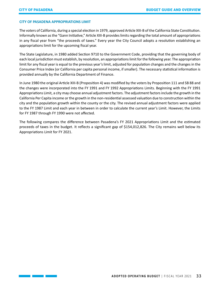# **CITY OF PASADENA APPROPRIATIONS LIMIT**

The voters of California, during a special election in 1979, approved Article XIII-B of the California State Constitution. Informally known as the "Gann Initiative," Article XIII-B provides limits regarding the total amount of appropriations in any fiscal year from "the proceeds of taxes." Every year the City Council adopts a resolution establishing an appropriations limit for the upcoming fiscal year.

The State Legislature, in 1980 added Section 9710 to the Government Code, providing that the governing body of each local jurisdiction must establish, by resolution, an appropriations limit for the following year. The appropriation limit for any fiscal year is equal to the previous year's limit, adjusted for population changes and the changes in the Consumer Price Index (or California per capita personal income, if smaller). The necessary statistical information is provided annually by the California Department of Finance.

In June 1980 the original Article XIII-B (Proposition 4) was modified by the voters by Proposition 111 and SB 88 and the changes were incorporated into the FY 1991 and FY 1992 Appropriations Limits. Beginning with the FY 1991 Appropriations Limit, a city may choose annual adjustment factors. The adjustment factors include the growth in the California Per Capita income or the growth in the non-residential assessed valuation due to construction within the city and the population growth within the county or the city. The revised annual adjustment factors were applied to the FY 1987 Limit and each year in between in order to calculate the current year's Limit. However, the Limits for FY 1987 through FY 1990 were not affected.

The following compares the difference between Pasadena's FY 2021 Appropriations Limit and the estimated proceeds of taxes in the budget. It reflects a significant gap of \$154,012,826. The City remains well below its Appropriations Limit for FY 2021.